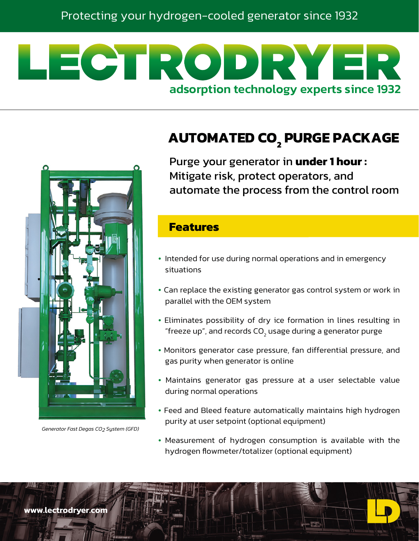# LECTRODRYE adsorption technology experts since 1932





*Generator Fast Degas CO2 System (GFD)*

Purge your generator in **under 1 hour :** Mitigate risk, protect operators, and automate the process from the control room

#### **Features**

- Intended for use during normal operations and in emergency situations
- Can replace the existing generator gas control system or work in parallel with the OEM system
- Eliminates possibility of dry ice formation in lines resulting in "freeze up", and records CO<sub>2</sub> usage during a generator purge
- Monitors generator case pressure, fan differential pressure, and gas purity when generator is online
- Maintains generator gas pressure at a user selectable value during normal operations
- Feed and Bleed feature automatically maintains high hydrogen purity at user setpoint (optional equipment)
- Measurement of hydrogen consumption is available with the hydrogen flowmeter/totalizer (optional equipment)